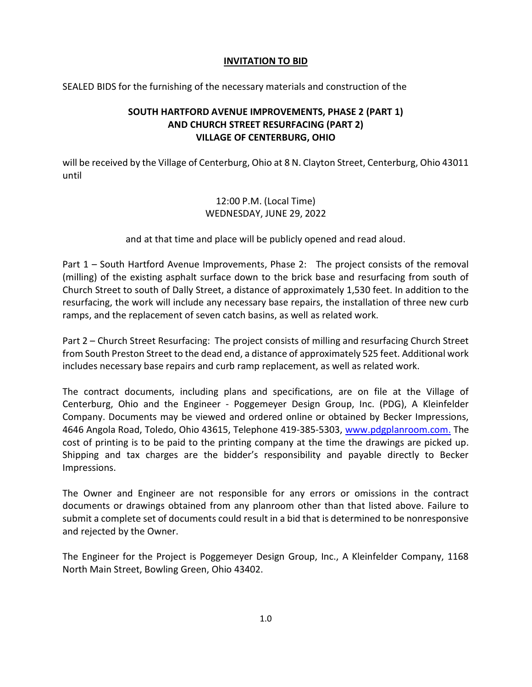## INVITATION TO BID

SEALED BIDS for the furnishing of the necessary materials and construction of the

## SOUTH HARTFORD AVENUE IMPROVEMENTS, PHASE 2 (PART 1) AND CHURCH STREET RESURFACING (PART 2) VILLAGE OF CENTERBURG, OHIO

will be received by the Village of Centerburg, Ohio at 8 N. Clayton Street, Centerburg, Ohio 43011 until

## 12:00 P.M. (Local Time) WEDNESDAY, JUNE 29, 2022

and at that time and place will be publicly opened and read aloud.

Part 1 – South Hartford Avenue Improvements, Phase 2: The project consists of the removal (milling) of the existing asphalt surface down to the brick base and resurfacing from south of Church Street to south of Dally Street, a distance of approximately 1,530 feet. In addition to the resurfacing, the work will include any necessary base repairs, the installation of three new curb ramps, and the replacement of seven catch basins, as well as related work.

Part 2 – Church Street Resurfacing: The project consists of milling and resurfacing Church Street from South Preston Street to the dead end, a distance of approximately 525 feet. Additional work includes necessary base repairs and curb ramp replacement, as well as related work.

The contract documents, including plans and specifications, are on file at the Village of Centerburg, Ohio and the Engineer - Poggemeyer Design Group, Inc. (PDG), A Kleinfelder Company. Documents may be viewed and ordered online or obtained by Becker Impressions, 4646 Angola Road, Toledo, Ohio 43615, Telephone 419-385-5303, www.pdgplanroom.com. The cost of printing is to be paid to the printing company at the time the drawings are picked up. Shipping and tax charges are the bidder's responsibility and payable directly to Becker Impressions.

The Owner and Engineer are not responsible for any errors or omissions in the contract documents or drawings obtained from any planroom other than that listed above. Failure to submit a complete set of documents could result in a bid that is determined to be nonresponsive and rejected by the Owner.

The Engineer for the Project is Poggemeyer Design Group, Inc., A Kleinfelder Company, 1168 North Main Street, Bowling Green, Ohio 43402.